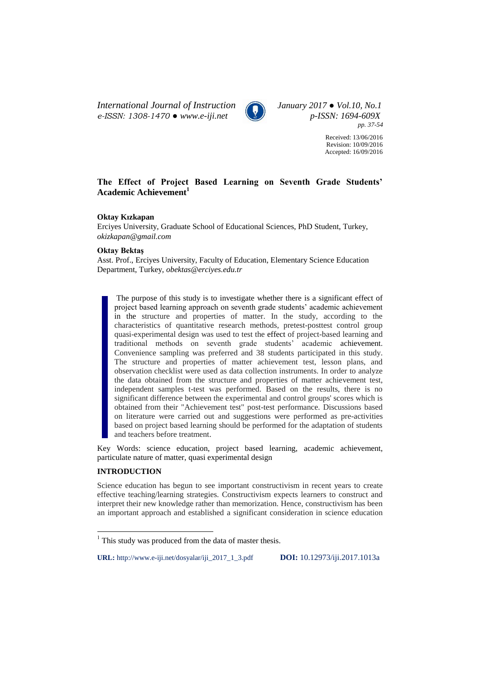*International Journal of Instruction January 2017 ● Vol.10, No.1 e-ISSN: 1308-1470 ● www.e-iji.net p-ISSN: 1694-609X*



*pp. 37-54*

Received: 13/06/2016 Revision: 10/09/2016 Accepted: 16/09/2016

# **The Effect of Project Based Learning on Seventh Grade Students' Academic Achievement<sup>1</sup>**

## **Oktay Kızkapan**

Erciyes University, Graduate School of Educational Sciences, PhD Student, Turkey, *[okizkapan@gmail.com](mailto:okizkapan@gmail.com)*

### **Oktay Bektaş**

Asst. Prof., Erciyes University, Faculty of Education, Elementary Science Education Department, Turkey, *[obektas@erciyes.edu.tr](mailto:obektas@erciyes.edu.tr)*

The purpose of this study is to investigate whether there is a significant effect of project based learning approach on seventh grade students' academic achievement in the structure and properties of matter. In the study, according to the characteristics of quantitative research methods, pretest-posttest control group quasi-experimental design was used to test the effect of project-based learning and traditional methods on seventh grade students' academic achievement. Convenience sampling was preferred and 38 students participated in this study. The structure and properties of matter achievement test, lesson plans, and observation checklist were used as data collection instruments. In order to analyze the data obtained from the structure and properties of matter achievement test, independent samples t-test was performed. Based on the results, there is no significant difference between the experimental and control groups' scores which is obtained from their "Achievement test" post-test performance. Discussions based on literature were carried out and suggestions were performed as pre-activities based on project based learning should be performed for the adaptation of students and teachers before treatment.

Key Words: science education, project based learning, academic achievement, particulate nature of matter, quasi experimental design

### **INTRODUCTION**

 $\overline{a}$ 

Science education has begun to see important constructivism in recent years to create effective teaching/learning strategies. Constructivism expects learners to construct and interpret their new knowledge rather than memorization. Hence, constructivism has been an important approach and established a significant consideration in science education

**URL:** http://www.e-iji.net/dosyalar/iji\_2017\_1\_3.pdf **DOI:** 10.12973/iji.2017.1013a

 $<sup>1</sup>$  This study was produced from the data of master thesis.</sup>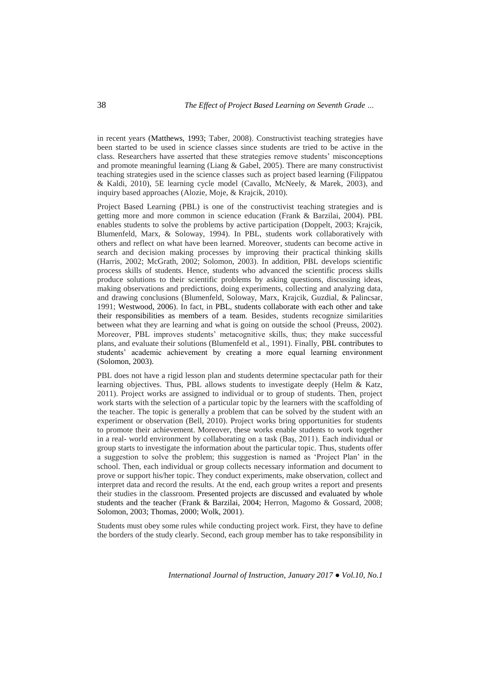in recent years (Matthews, 1993; Taber, 2008). Constructivist teaching strategies have been started to be used in science classes since students are tried to be active in the class. Researchers have asserted that these strategies remove students' misconceptions and promote meaningful learning (Liang & Gabel, 2005). There are many constructivist teaching strategies used in the science classes such as project based learning (Filippatou & Kaldi, 2010), 5E learning cycle model (Cavallo, McNeely, & Marek, 2003), and inquiry based approaches (Alozie, Moje, & Krajcik, 2010).

Project Based Learning (PBL) is one of the constructivist teaching strategies and is getting more and more common in science education (Frank & Barzilai, 2004). PBL enables students to solve the problems by active participation (Doppelt, 2003; Krajcik, Blumenfeld, Marx, & Soloway, 1994). In PBL, students work collaboratively with others and reflect on what have been learned. Moreover, students can become active in search and decision making processes by improving their practical thinking skills (Harris, 2002; McGrath, 2002; Solomon, 2003). In addition, PBL develops scientific process skills of students. Hence, students who advanced the scientific process skills produce solutions to their scientific problems by asking questions, discussing ideas, making observations and predictions, doing experiments, collecting and analyzing data, and drawing conclusions (Blumenfeld, Soloway, Marx, Krajcik, Guzdial, & Palincsar, 1991; Westwood, 2006). In fact, in PBL, students collaborate with each other and take their responsibilities as members of a team. Besides, students recognize similarities between what they are learning and what is going on outside the school (Preuss, 2002). Moreover, PBL improves students' metacognitive skills, thus; they make successful plans, and evaluate their solutions (Blumenfeld et al., 1991). Finally, PBL contributes to students' academic achievement by creating a more equal learning environment (Solomon, 2003).

PBL does not have a rigid lesson plan and students determine spectacular path for their learning objectives. Thus, PBL allows students to investigate deeply (Helm & Katz, 2011). Project works are assigned to individual or to group of students. Then, project work starts with the selection of a particular topic by the learners with the scaffolding of the teacher. The topic is generally a problem that can be solved by the student with an experiment or observation (Bell, 2010). Project works bring opportunities for students to promote their achievement. Moreover, these works enable students to work together in a real- world environment by collaborating on a task (Baş, 2011). Each individual or group starts to investigate the information about the particular topic. Thus, students offer a suggestion to solve the problem; this suggestion is named as 'Project Plan' in the school. Then, each individual or group collects necessary information and document to prove or support his/her topic. They conduct experiments, make observation, collect and interpret data and record the results. At the end, each group writes a report and presents their studies in the classroom. Presented projects are discussed and evaluated by whole students and the teacher (Frank & Barzilai, 2004; Herron, Magomo & Gossard, 2008; Solomon, 2003; Thomas, 2000; Wolk, 2001).

Students must obey some rules while conducting project work. First, they have to define the borders of the study clearly. Second, each group member has to take responsibility in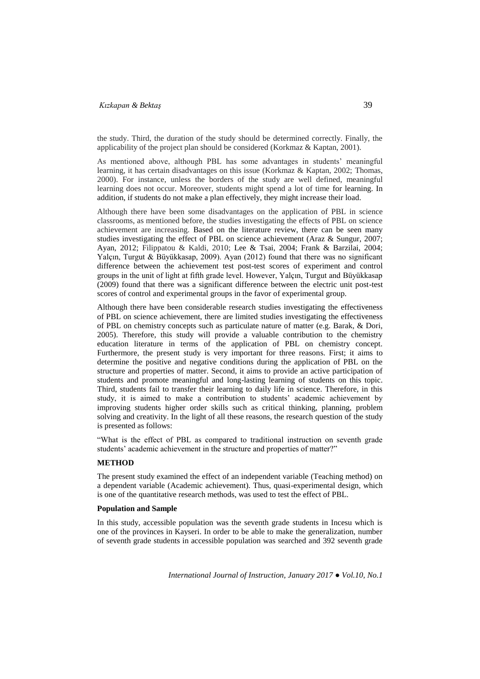the study. Third, the duration of the study should be determined correctly. Finally, the applicability of the project plan should be considered (Korkmaz & Kaptan, 2001).

As mentioned above, although PBL has some advantages in students' meaningful learning, it has certain disadvantages on this issue (Korkmaz & Kaptan, 2002; Thomas, 2000). For instance, unless the borders of the study are well defined, meaningful learning does not occur. Moreover, students might spend a lot of time for learning. In addition, if students do not make a plan effectively, they might increase their load.

Although there have been some disadvantages on the application of PBL in science classrooms, as mentioned before, the studies investigating the effects of PBL on science achievement are increasing. Based on the literature review, there can be seen many studies investigating the effect of PBL on science achievement (Araz & Sungur, 2007; Ayan, 2012; Filippatou & Kaldi, 2010; Lee & Tsai, 2004; Frank & Barzilai, 2004; Yalçın, Turgut & Büyükkasap, 2009). Ayan (2012) found that there was no significant difference between the achievement test post-test scores of experiment and control groups in the unit of light at fifth grade level. However, Yalçın, Turgut and Büyükkasap (2009) found that there was a significant difference between the electric unit post-test scores of control and experimental groups in the favor of experimental group.

Although there have been considerable research studies investigating the effectiveness of PBL on science achievement, there are limited studies investigating the effectiveness of PBL on chemistry concepts such as particulate nature of matter (e.g. Barak, & Dori, 2005). Therefore, this study will provide a valuable contribution to the chemistry education literature in terms of the application of PBL on chemistry concept. Furthermore, the present study is very important for three reasons. First; it aims to determine the positive and negative conditions during the application of PBL on the structure and properties of matter. Second, it aims to provide an active participation of students and promote meaningful and long-lasting learning of students on this topic. Third, students fail to transfer their learning to daily life in science. Therefore, in this study, it is aimed to make a contribution to students' academic achievement by improving students higher order skills such as critical thinking, planning, problem solving and creativity. In the light of all these reasons, the research question of the study is presented as follows:

"What is the effect of PBL as compared to traditional instruction on seventh grade students' academic achievement in the structure and properties of matter?"

## **METHOD**

The present study examined the effect of an independent variable (Teaching method) on a dependent variable (Academic achievement). Thus, quasi-experimental design, which is one of the quantitative research methods, was used to test the effect of PBL.

### **Population and Sample**

In this study, accessible population was the seventh grade students in Incesu which is one of the provinces in Kayseri. In order to be able to make the generalization, number of seventh grade students in accessible population was searched and 392 seventh grade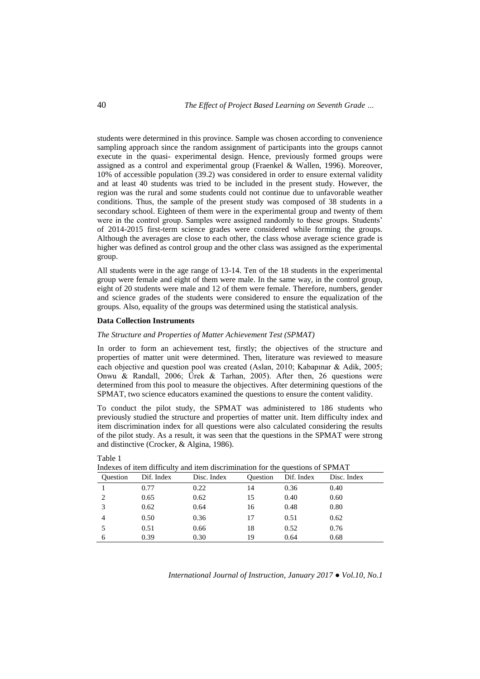students were determined in this province. Sample was chosen according to convenience sampling approach since the random assignment of participants into the groups cannot execute in the quasi- experimental design. Hence, previously formed groups were assigned as a control and experimental group (Fraenkel & Wallen, 1996). Moreover, 10% of accessible population (39.2) was considered in order to ensure external validity and at least 40 students was tried to be included in the present study. However, the region was the rural and some students could not continue due to unfavorable weather conditions. Thus, the sample of the present study was composed of 38 students in a secondary school. Eighteen of them were in the experimental group and twenty of them were in the control group. Samples were assigned randomly to these groups. Students' of 2014-2015 first-term science grades were considered while forming the groups. Although the averages are close to each other, the class whose average science grade is higher was defined as control group and the other class was assigned as the experimental group.

All students were in the age range of 13-14. Ten of the 18 students in the experimental group were female and eight of them were male. In the same way, in the control group, eight of 20 students were male and 12 of them were female. Therefore, numbers, gender and science grades of the students were considered to ensure the equalization of the groups. Also, equality of the groups was determined using the statistical analysis.

#### **Data Collection Instruments**

Table 1

#### *The Structure and Properties of Matter Achievement Test (SPMAT)*

In order to form an achievement test, firstly; the objectives of the structure and properties of matter unit were determined. Then, literature was reviewed to measure each objective and question pool was created (Aslan, 2010; Kabapınar & Adik, 2005; Onwu & Randall, 2006; Ürek & Tarhan, 2005). After then, 26 questions were determined from this pool to measure the objectives. After determining questions of the SPMAT, two science educators examined the questions to ensure the content validity.

To conduct the pilot study, the SPMAT was administered to 186 students who previously studied the structure and properties of matter unit. Item difficulty index and item discrimination index for all questions were also calculated considering the results of the pilot study. As a result, it was seen that the questions in the SPMAT were strong and distinctive (Crocker, & Algina, 1986).

| <b>Ouestion</b> | Dif. Index | Disc. Index | <b>Ouestion</b> | Dif. Index | Disc. Index |
|-----------------|------------|-------------|-----------------|------------|-------------|
|                 | 0.77       | 0.22        | 14              | 0.36       | 0.40        |
|                 | 0.65       | 0.62        | 15              | 0.40       | 0.60        |
|                 | 0.62       | 0.64        | 16              | 0.48       | 0.80        |
|                 | 0.50       | 0.36        | 17              | 0.51       | 0.62        |
|                 | 0.51       | 0.66        | 18              | 0.52       | 0.76        |
| 6               | 0.39       | 0.30        | 19              | 0.64       | 0.68        |

 $f$  item difficulty and item discrimination for the questions of SPMAT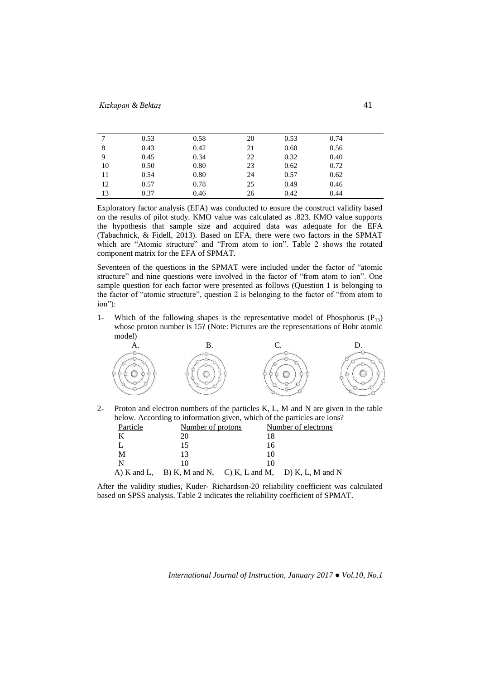| 7  | 0.53 | 0.58 | 20 | 0.53 | 0.74 |  |
|----|------|------|----|------|------|--|
| 8  | 0.43 | 0.42 | 21 | 0.60 | 0.56 |  |
| 9  | 0.45 | 0.34 | 22 | 0.32 | 0.40 |  |
| 10 | 0.50 | 0.80 | 23 | 0.62 | 0.72 |  |
| 11 | 0.54 | 0.80 | 24 | 0.57 | 0.62 |  |
| 12 | 0.57 | 0.78 | 25 | 0.49 | 0.46 |  |
| 13 | 0.37 | 0.46 | 26 | 0.42 | 0.44 |  |

Exploratory factor analysis (EFA) was conducted to ensure the construct validity based on the results of pilot study. KMO value was calculated as .823. KMO value supports the hypothesis that sample size and acquired data was adequate for the EFA (Tabachnick, & Fidell, 2013). Based on EFA, there were two factors in the SPMAT which are "Atomic structure" and "From atom to ion". Table 2 shows the rotated component matrix for the EFA of SPMAT.

Seventeen of the questions in the SPMAT were included under the factor of "atomic structure" and nine questions were involved in the factor of "from atom to ion". One sample question for each factor were presented as follows (Question 1 is belonging to the factor of "atomic structure", question 2 is belonging to the factor of "from atom to ion"):

1- Which of the following shapes is the representative model of Phosphorus  $(P_{15})$ whose proton number is 15? (Note: Pictures are the representations of Bohr atomic model)



2- Proton and electron numbers of the particles K, L, M and N are given in the table below. According to information given, which of the particles are ions?

| Particle<br>Number of protons |     |    | Number of electrons                                        |  |  |
|-------------------------------|-----|----|------------------------------------------------------------|--|--|
|                               | 20. |    |                                                            |  |  |
|                               |     | 16 |                                                            |  |  |
| M                             |     |    |                                                            |  |  |
| -N                            |     |    |                                                            |  |  |
|                               |     |    | A) K and L, B) K, M and N, C) K, L and M, D) K, L, M and N |  |  |

After the validity studies, Kuder- Richardson-20 reliability coefficient was calculated based on SPSS analysis. Table 2 indicates the reliability coefficient of SPMAT.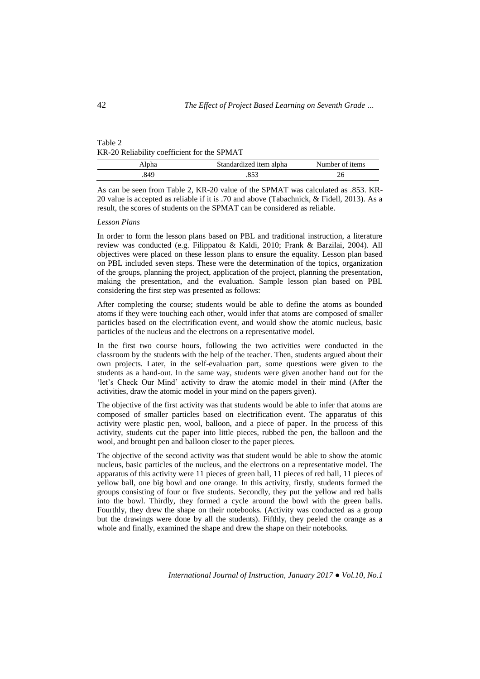| Table 2                                     |  |
|---------------------------------------------|--|
| KR-20 Reliability coefficient for the SPMAT |  |

| Alpha | Standardized item alpha | Number of items |
|-------|-------------------------|-----------------|
| 849   |                         |                 |

As can be seen from Table 2, KR-20 value of the SPMAT was calculated as .853. KR-20 value is accepted as reliable if it is .70 and above (Tabachnick, & Fidell, 2013). As a result, the scores of students on the SPMAT can be considered as reliable.

### *Lesson Plans*

In order to form the lesson plans based on PBL and traditional instruction, a literature review was conducted (e.g. Filippatou & Kaldi, 2010; Frank & Barzilai, 2004). All objectives were placed on these lesson plans to ensure the equality. Lesson plan based on PBL included seven steps. These were the determination of the topics, organization of the groups, planning the project, application of the project, planning the presentation, making the presentation, and the evaluation. Sample lesson plan based on PBL considering the first step was presented as follows:

After completing the course; students would be able to define the atoms as bounded atoms if they were touching each other, would infer that atoms are composed of smaller particles based on the electrification event, and would show the atomic nucleus, basic particles of the nucleus and the electrons on a representative model.

In the first two course hours, following the two activities were conducted in the classroom by the students with the help of the teacher. Then, students argued about their own projects. Later, in the self-evaluation part, some questions were given to the students as a hand-out. In the same way, students were given another hand out for the 'let's Check Our Mind' activity to draw the atomic model in their mind (After the activities, draw the atomic model in your mind on the papers given).

The objective of the first activity was that students would be able to infer that atoms are composed of smaller particles based on electrification event. The apparatus of this activity were plastic pen, wool, balloon, and a piece of paper. In the process of this activity, students cut the paper into little pieces, rubbed the pen, the balloon and the wool, and brought pen and balloon closer to the paper pieces.

The objective of the second activity was that student would be able to show the atomic nucleus, basic particles of the nucleus, and the electrons on a representative model. The apparatus of this activity were 11 pieces of green ball, 11 pieces of red ball, 11 pieces of yellow ball, one big bowl and one orange. In this activity, firstly, students formed the groups consisting of four or five students. Secondly, they put the yellow and red balls into the bowl. Thirdly, they formed a cycle around the bowl with the green balls. Fourthly, they drew the shape on their notebooks. (Activity was conducted as a group but the drawings were done by all the students). Fifthly, they peeled the orange as a whole and finally, examined the shape and drew the shape on their notebooks.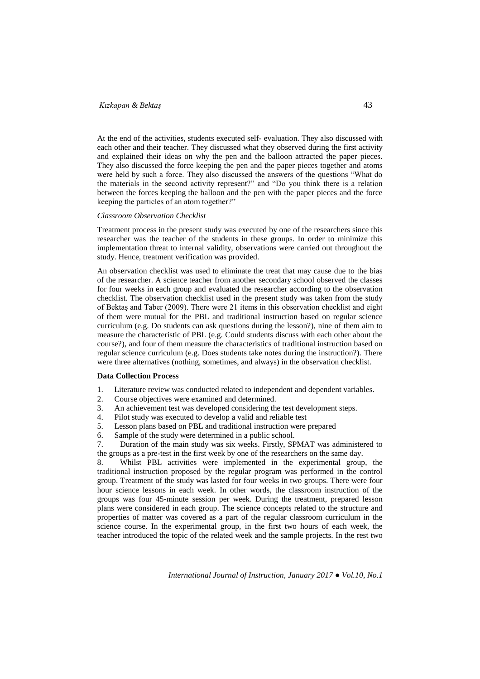At the end of the activities, students executed self- evaluation. They also discussed with each other and their teacher. They discussed what they observed during the first activity and explained their ideas on why the pen and the balloon attracted the paper pieces. They also discussed the force keeping the pen and the paper pieces together and atoms were held by such a force. They also discussed the answers of the questions "What do the materials in the second activity represent?" and "Do you think there is a relation between the forces keeping the balloon and the pen with the paper pieces and the force keeping the particles of an atom together?"

## *Classroom Observation Checklist*

Treatment process in the present study was executed by one of the researchers since this researcher was the teacher of the students in these groups. In order to minimize this implementation threat to internal validity, observations were carried out throughout the study. Hence, treatment verification was provided.

An observation checklist was used to eliminate the treat that may cause due to the bias of the researcher. A science teacher from another secondary school observed the classes for four weeks in each group and evaluated the researcher according to the observation checklist. The observation checklist used in the present study was taken from the study of Bektaş and Taber (2009). There were 21 items in this observation checklist and eight of them were mutual for the PBL and traditional instruction based on regular science curriculum (e.g. Do students can ask questions during the lesson?), nine of them aim to measure the characteristic of PBL (e.g. Could students discuss with each other about the course?), and four of them measure the characteristics of traditional instruction based on regular science curriculum (e.g. Does students take notes during the instruction?). There were three alternatives (nothing, sometimes, and always) in the observation checklist.

## **Data Collection Process**

- 1. Literature review was conducted related to independent and dependent variables.
- 2. Course objectives were examined and determined.
- 3. An achievement test was developed considering the test development steps.
- 4. Pilot study was executed to develop a valid and reliable test
- 5. Lesson plans based on PBL and traditional instruction were prepared
- 6. Sample of the study were determined in a public school.
- 7. Duration of the main study was six weeks. Firstly, SPMAT was administered to the groups as a pre-test in the first week by one of the researchers on the same day.

8. Whilst PBL activities were implemented in the experimental group, the traditional instruction proposed by the regular program was performed in the control group. Treatment of the study was lasted for four weeks in two groups. There were four hour science lessons in each week. In other words, the classroom instruction of the groups was four 45-minute session per week. During the treatment, prepared lesson plans were considered in each group. The science concepts related to the structure and properties of matter was covered as a part of the regular classroom curriculum in the science course. In the experimental group, in the first two hours of each week, the teacher introduced the topic of the related week and the sample projects. In the rest two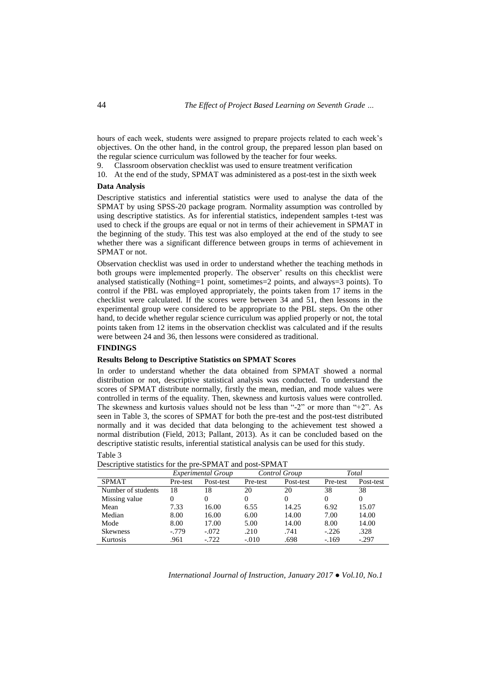hours of each week, students were assigned to prepare projects related to each week's objectives. On the other hand, in the control group, the prepared lesson plan based on the regular science curriculum was followed by the teacher for four weeks.

9. Classroom observation checklist was used to ensure treatment verification

10. At the end of the study, SPMAT was administered as a post-test in the sixth week

### **Data Analysis**

Descriptive statistics and inferential statistics were used to analyse the data of the SPMAT by using SPSS-20 package program. Normality assumption was controlled by using descriptive statistics. As for inferential statistics, independent samples t-test was used to check if the groups are equal or not in terms of their achievement in SPMAT in the beginning of the study. This test was also employed at the end of the study to see whether there was a significant difference between groups in terms of achievement in SPMAT or not.

Observation checklist was used in order to understand whether the teaching methods in both groups were implemented properly. The observer' results on this checklist were analysed statistically (Nothing=1 point, sometimes=2 points, and always=3 points). To control if the PBL was employed appropriately, the points taken from 17 items in the checklist were calculated. If the scores were between 34 and 51, then lessons in the experimental group were considered to be appropriate to the PBL steps. On the other hand, to decide whether regular science curriculum was applied properly or not, the total points taken from 12 items in the observation checklist was calculated and if the results were between 24 and 36, then lessons were considered as traditional.

### **FINDINGS**

### **Results Belong to Descriptive Statistics on SPMAT Scores**

In order to understand whether the data obtained from SPMAT showed a normal distribution or not, descriptive statistical analysis was conducted. To understand the scores of SPMAT distribute normally, firstly the mean, median, and mode values were controlled in terms of the equality. Then, skewness and kurtosis values were controlled. The skewness and kurtosis values should not be less than "-2" or more than "+2". As seen in Table 3, the scores of SPMAT for both the pre-test and the post-test distributed normally and it was decided that data belonging to the achievement test showed a normal distribution (Field, 2013; Pallant, 2013). As it can be concluded based on the descriptive statistic results, inferential statistical analysis can be used for this study. Table 3

|                    | <i>Experimental Group</i> |           | Control Group |           | Total    |           |
|--------------------|---------------------------|-----------|---------------|-----------|----------|-----------|
| <b>SPMAT</b>       | Pre-test                  | Post-test | Pre-test      | Post-test | Pre-test | Post-test |
| Number of students | 18                        | 18        | 20            | 20        | 38       | 38        |
| Missing value      |                           | 0         | 0             |           | 0        | $\Omega$  |
| Mean               | 7.33                      | 16.00     | 6.55          | 14.25     | 6.92     | 15.07     |
| Median             | 8.00                      | 16.00     | 6.00          | 14.00     | 7.00     | 14.00     |
| Mode               | 8.00                      | 17.00     | 5.00          | 14.00     | 8.00     | 14.00     |
| <b>Skewness</b>    | $-0.779$                  | $-.072$   | .210          | .741      | $-.226$  | .328      |
| Kurtosis           | .961                      | $-.722$   | $-.010$       | .698      | $-.169$  | $-.297$   |

Descriptive statistics for the pre-SPMAT and post-SPMAT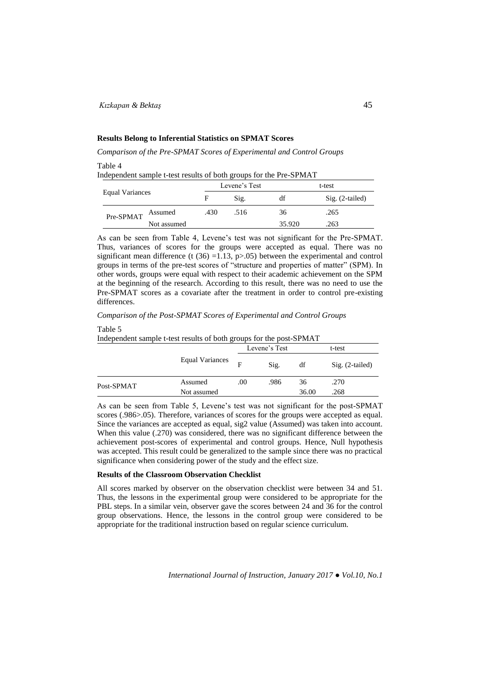## **Results Belong to Inferential Statistics on SPMAT Scores**

*Comparison of the Pre-SPMAT Scores of Experimental and Control Groups*

## Table 4

Independent sample t-test results of both groups for the Pre-SPMAT

| Equal Variances |             | Levene's Test |      |        | t-test            |  |  |
|-----------------|-------------|---------------|------|--------|-------------------|--|--|
|                 |             | F             | Sig. | df     | $Sig. (2-tailed)$ |  |  |
| Pre-SPMAT       | Assumed     | .430          | .516 | 36     | .265              |  |  |
|                 | Not assumed |               |      | 35.920 | .263              |  |  |

As can be seen from Table 4, Levene's test was not significant for the Pre-SPMAT. Thus, variances of scores for the groups were accepted as equal. There was no significant mean difference (t  $(36)$  =1.13, p>.05) between the experimental and control groups in terms of the pre-test scores of "structure and properties of matter" (SPM). In other words, groups were equal with respect to their academic achievement on the SPM at the beginning of the research. According to this result, there was no need to use the Pre-SPMAT scores as a covariate after the treatment in order to control pre-existing differences.

*Comparison of the Post-SPMAT Scores of Experimental and Control Groups*

### Table 5

Independent sample t-test results of both groups for the post-SPMAT

|            |                        |     | Levene's Test | t-test |                   |
|------------|------------------------|-----|---------------|--------|-------------------|
|            | <b>Equal Variances</b> | F   | Sig.          | df     | $Sig. (2-tailed)$ |
| Post-SPMAT | Assumed                | .00 | .986          | 36     | .270              |
|            | Not assumed            |     |               | 36.00  | .268              |

As can be seen from Table 5, Levene's test was not significant for the post-SPMAT scores (.986>.05). Therefore, variances of scores for the groups were accepted as equal. Since the variances are accepted as equal, sig2 value (Assumed) was taken into account. When this value (.270) was considered, there was no significant difference between the achievement post-scores of experimental and control groups. Hence, Null hypothesis was accepted. This result could be generalized to the sample since there was no practical significance when considering power of the study and the effect size.

#### **Results of the Classroom Observation Checklist**

All scores marked by observer on the observation checklist were between 34 and 51. Thus, the lessons in the experimental group were considered to be appropriate for the PBL steps. In a similar vein, observer gave the scores between 24 and 36 for the control group observations. Hence, the lessons in the control group were considered to be appropriate for the traditional instruction based on regular science curriculum.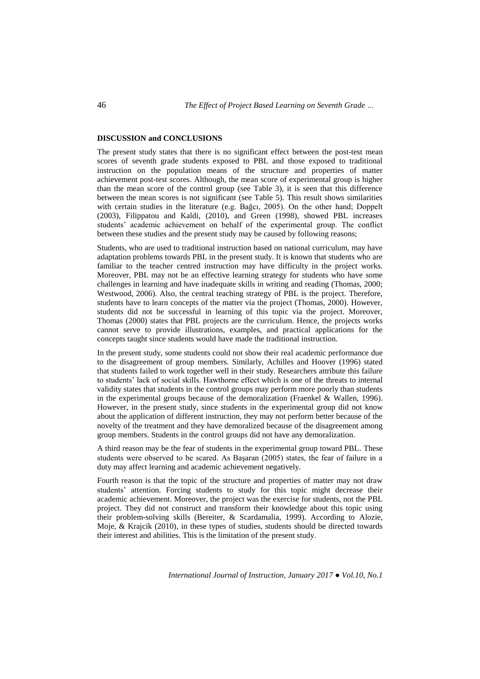### **DISCUSSION and CONCLUSIONS**

The present study states that there is no significant effect between the post-test mean scores of seventh grade students exposed to PBL and those exposed to traditional instruction on the population means of the structure and properties of matter achievement post-test scores. Although, the mean score of experimental group is higher than the mean score of the control group (see Table 3), it is seen that this difference between the mean scores is not significant (see Table 5). This result shows similarities with certain studies in the literature (e.g. Bağcı, 2005). On the other hand; Doppelt (2003), Filippatou and Kaldi, (2010), and Green (1998), showed PBL increases students' academic achievement on behalf of the experimental group. The conflict between these studies and the present study may be caused by following reasons;

Students, who are used to traditional instruction based on national curriculum, may have adaptation problems towards PBL in the present study. It is known that students who are familiar to the teacher centred instruction may have difficulty in the project works. Moreover, PBL may not be an effective learning strategy for students who have some challenges in learning and have inadequate skills in writing and reading (Thomas, 2000; Westwood, 2006). Also, the central teaching strategy of PBL is the project. Therefore, students have to learn concepts of the matter via the project (Thomas, 2000). However, students did not be successful in learning of this topic via the project. Moreover, Thomas (2000) states that PBL projects are the curriculum. Hence, the projects works cannot serve to provide illustrations, examples, and practical applications for the concepts taught since students would have made the traditional instruction.

In the present study, some students could not show their real academic performance due to the disagreement of group members. Similarly, Achilles and Hoover (1996) stated that students failed to work together well in their study. Researchers attribute this failure to students' lack of social skills. Hawthorne effect which is one of the threats to internal validity states that students in the control groups may perform more poorly than students in the experimental groups because of the demoralization (Fraenkel & Wallen, 1996). However, in the present study, since students in the experimental group did not know about the application of different instruction, they may not perform better because of the novelty of the treatment and they have demoralized because of the disagreement among group members. Students in the control groups did not have any demoralization.

A third reason may be the fear of students in the experimental group toward PBL. These students were observed to be scared. As Başaran (2005) states, the fear of failure in a duty may affect learning and academic achievement negatively.

Fourth reason is that the topic of the structure and properties of matter may not draw students' attention. Forcing students to study for this topic might decrease their academic achievement. Moreover, the project was the exercise for students, not the PBL project. They did not construct and transform their knowledge about this topic using their problem-solving skills (Bereiter, & Scardamalia, 1999). According to Alozie, Moje, & Krajcik (2010), in these types of studies, students should be directed towards their interest and abilities. This is the limitation of the present study.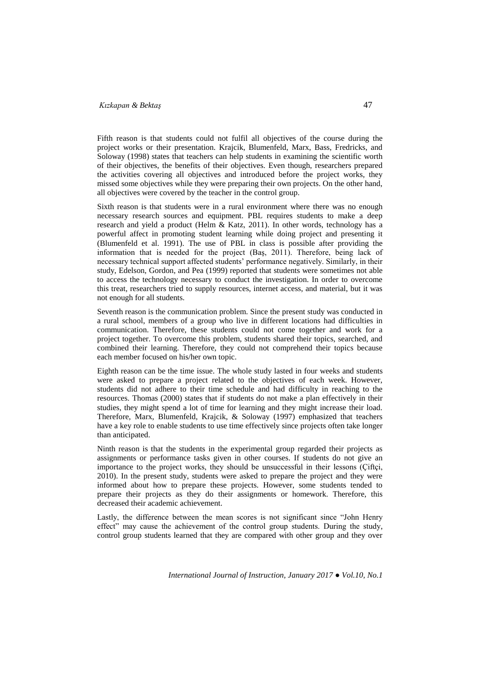Fifth reason is that students could not fulfil all objectives of the course during the project works or their presentation. Krajcik, Blumenfeld, Marx, Bass, Fredricks, and Soloway (1998) states that teachers can help students in examining the scientific worth of their objectives, the benefits of their objectives. Even though, researchers prepared the activities covering all objectives and introduced before the project works, they missed some objectives while they were preparing their own projects. On the other hand, all objectives were covered by the teacher in the control group.

Sixth reason is that students were in a rural environment where there was no enough necessary research sources and equipment. PBL requires students to make a deep research and yield a product (Helm & Katz, 2011). In other words, technology has a powerful affect in promoting student learning while doing project and presenting it (Blumenfeld et al. 1991). The use of PBL in class is possible after providing the information that is needed for the project (Baş, 2011). Therefore, being lack of necessary technical support affected students' performance negatively. Similarly, in their study, Edelson, Gordon, and Pea (1999) reported that students were sometimes not able to access the technology necessary to conduct the investigation. In order to overcome this treat, researchers tried to supply resources, internet access, and material, but it was not enough for all students.

Seventh reason is the communication problem. Since the present study was conducted in a rural school, members of a group who live in different locations had difficulties in communication. Therefore, these students could not come together and work for a project together. To overcome this problem, students shared their topics, searched, and combined their learning. Therefore, they could not comprehend their topics because each member focused on his/her own topic.

Eighth reason can be the time issue. The whole study lasted in four weeks and students were asked to prepare a project related to the objectives of each week. However, students did not adhere to their time schedule and had difficulty in reaching to the resources. Thomas (2000) states that if students do not make a plan effectively in their studies, they might spend a lot of time for learning and they might increase their load. Therefore, Marx, Blumenfeld, Krajcik, & Soloway (1997) emphasized that teachers have a key role to enable students to use time effectively since projects often take longer than anticipated.

Ninth reason is that the students in the experimental group regarded their projects as assignments or performance tasks given in other courses. If students do not give an importance to the project works, they should be unsuccessful in their lessons (Çiftçi, 2010). In the present study, students were asked to prepare the project and they were informed about how to prepare these projects. However, some students tended to prepare their projects as they do their assignments or homework. Therefore, this decreased their academic achievement.

Lastly, the difference between the mean scores is not significant since "John Henry effect" may cause the achievement of the control group students. During the study, control group students learned that they are compared with other group and they over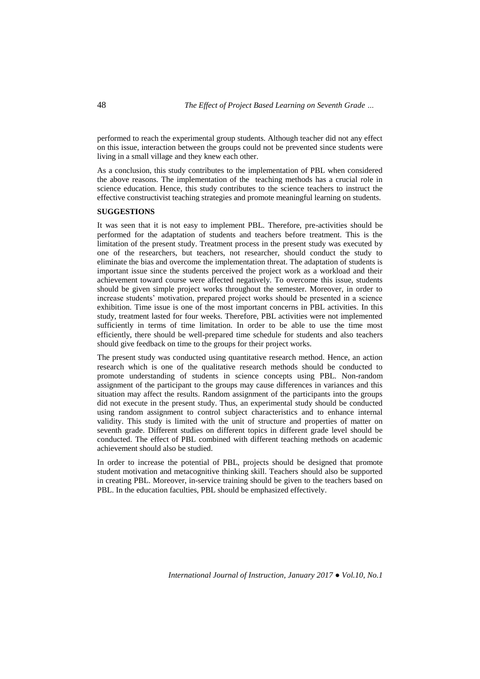performed to reach the experimental group students. Although teacher did not any effect on this issue, interaction between the groups could not be prevented since students were living in a small village and they knew each other.

As a conclusion, this study contributes to the implementation of PBL when considered the above reasons. The implementation of the teaching methods has a crucial role in science education. Hence, this study contributes to the science teachers to instruct the effective constructivist teaching strategies and promote meaningful learning on students.

### **SUGGESTIONS**

It was seen that it is not easy to implement PBL. Therefore, pre-activities should be performed for the adaptation of students and teachers before treatment. This is the limitation of the present study. Treatment process in the present study was executed by one of the researchers, but teachers, not researcher, should conduct the study to eliminate the bias and overcome the implementation threat. The adaptation of students is important issue since the students perceived the project work as a workload and their achievement toward course were affected negatively. To overcome this issue, students should be given simple project works throughout the semester. Moreover, in order to increase students' motivation, prepared project works should be presented in a science exhibition. Time issue is one of the most important concerns in PBL activities. In this study, treatment lasted for four weeks. Therefore, PBL activities were not implemented sufficiently in terms of time limitation. In order to be able to use the time most efficiently, there should be well-prepared time schedule for students and also teachers should give feedback on time to the groups for their project works.

The present study was conducted using quantitative research method. Hence, an action research which is one of the qualitative research methods should be conducted to promote understanding of students in science concepts using PBL. Non-random assignment of the participant to the groups may cause differences in variances and this situation may affect the results. Random assignment of the participants into the groups did not execute in the present study. Thus, an experimental study should be conducted using random assignment to control subject characteristics and to enhance internal validity. This study is limited with the unit of structure and properties of matter on seventh grade. Different studies on different topics in different grade level should be conducted. The effect of PBL combined with different teaching methods on academic achievement should also be studied.

In order to increase the potential of PBL, projects should be designed that promote student motivation and metacognitive thinking skill. Teachers should also be supported in creating PBL. Moreover, in-service training should be given to the teachers based on PBL. In the education faculties, PBL should be emphasized effectively.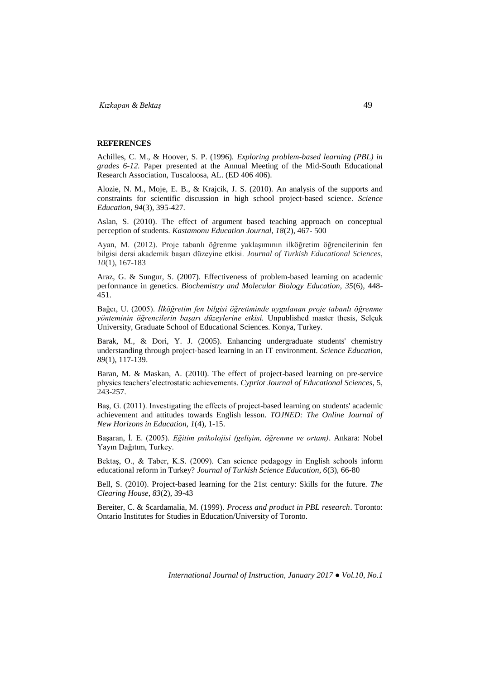#### **REFERENCES**

Achilles, C. M., & Hoover, S. P. (1996). *Exploring problem-based learning (PBL) in grades 6-12.* Paper presented at the Annual Meeting of the Mid-South Educational Research Association, Tuscaloosa, AL. (ED 406 406).

Alozie, N. M., Moje, E. B., & Krajcik, J. S. (2010). An analysis of the supports and constraints for scientific discussion in high school project‐based science. *Science Education*, *94*(3), 395-427.

Aslan, S. (2010). The effect of argument based teaching approach on conceptual perception of students. *Kastamonu Education Journal, 18*(2), 467- 500

Ayan, M. (2012). Proje tabanlı öğrenme yaklaşımının ilköğretim öğrencilerinin fen bilgisi dersi akademik başarı düzeyine etkisi. *Journal of Turkish Educational Sciences*, *10*(1), 167-183

Araz, G. & Sungur, S. (2007). Effectiveness of problem-based learning on academic performance in genetics. *Biochemistry and Molecular Biology Education, 35*(6), 448- 451.

Bağcı, U. (2005). *İlköğretim fen bilgisi öğretiminde uygulanan proje tabanlı öğrenme yönteminin öğrencilerin başarı düzeylerine etkisi.* Unpublished master thesis, Selçuk University, Graduate School of Educational Sciences. Konya, Turkey.

Barak, M., & Dori, Y. J. (2005). Enhancing undergraduate students' chemistry understanding through project‐based learning in an IT environment. *Science Education*, *89*(1), 117-139.

Baran, M. & Maskan, A*.* (2010). The effect of project-based learning on pre-service physics teachers'electrostatic achievements. *Cypriot Journal of Educational Sciences,* 5, 243-257.

Baş, G. (2011). Investigating the effects of project-based learning on students' academic achievement and attitudes towards English lesson. *TOJNED: The Online Journal of New Horizons in Education, 1*(4), 1-15.

Başaran, İ. E. (2005). *Eğitim psikolojisi (gelişim, öğrenme ve ortam)*. Ankara: Nobel Yayın Dağıtım, Turkey.

Bektaş, O., & Taber, K.S. (2009). Can science pedagogy in English schools inform educational reform in Turkey? *Journal of Turkish Science Education, 6*(3), 66-80

Bell, S. (2010). Project-based learning for the 21st century: Skills for the future. *The Clearing House*, *83*(2), 39-43

Bereiter, C. & Scardamalia, M. (1999). *Process and product in PBL research*. Toronto: Ontario Institutes for Studies in Education/University of Toronto.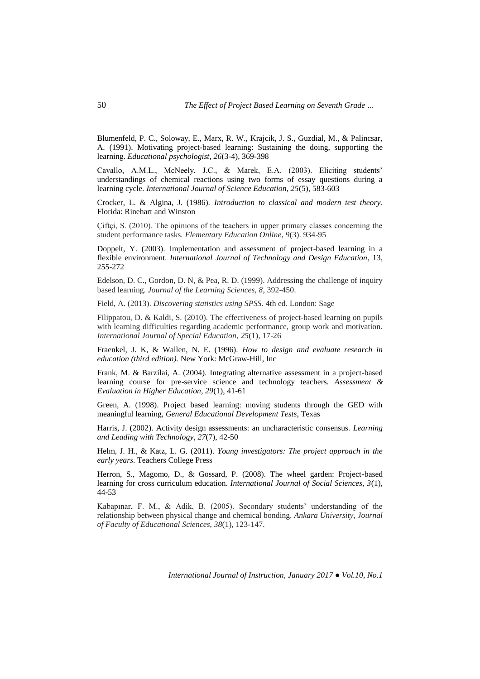Blumenfeld, P. C., Soloway, E., Marx, R. W., Krajcik, J. S., Guzdial, M., & Palincsar, A. (1991). Motivating project-based learning: Sustaining the doing, supporting the learning. *Educational psychologist, 26*(3-4), 369-398

Cavallo, A.M.L., McNeely, J.C., & Marek, E.A. (2003). Eliciting students' understandings of chemical reactions using two forms of essay questions during a learning cycle. *International Journal of Science Education, 25*(5), 583-603

Crocker, L. & Algina, J. (1986). *Introduction to classical and modern test theory*. Florida: Rinehart and Winston

Çiftçi, S. (2010). The opinions of the teachers in upper primary classes concerning the student performance tasks. *Elementary Education Online*, *9*(3). 934-95

Doppelt, Y. (2003). Implementation and assessment of project-based learning in a flexible environment. *International Journal of Technology and Design Education*, 13, 255-272

Edelson, D. C., Gordon, D. N, & Pea, R. D. (1999). Addressing the challenge of inquiry based learning. *Journal of the Learning Sciences, 8*, 392-450.

Field, A. (2013). *Discovering statistics using SPSS.* 4th ed. London: Sage

Filippatou, D. & Kaldi, S. (2010). The effectiveness of project-based learning on pupils with learning difficulties regarding academic performance, group work and motivation. *International Journal of Special Education*, *25*(1), 17-26

Fraenkel, J. K, & Wallen, N. E. (1996). *How to design and evaluate research in education (third edition).* New York: McGraw-Hill, Inc

Frank, M. & Barzilai, A. (2004). Integrating alternative assessment in a project-based learning course for pre-service science and technology teachers. *Assessment & Evaluation in Higher Education, 29*(1), 41-61

Green, A. (1998). Project based learning: moving students through the GED with meaningful learning, *General Educational Development Tests*, Texas

Harris, J. (2002). Activity design assessments: an uncharacteristic consensus. *Learning and Leading with Technology*, *27*(7), 42-50

Helm, J. H., & Katz, L. G. (2011). *Young investigators: The project approach in the early years*. Teachers College Press

Herron, S., Magomo, D., & Gossard, P. (2008). The wheel garden: Project-based learning for cross curriculum education. *International Journal of Social Sciences, 3*(1), 44-53

Kabapınar, F. M., & Adik, B. (2005). Secondary students' understanding of the relationship between physical change and chemical bonding. *Ankara University, Journal of Faculty of Educational Sciences*, *38*(1), 123-147.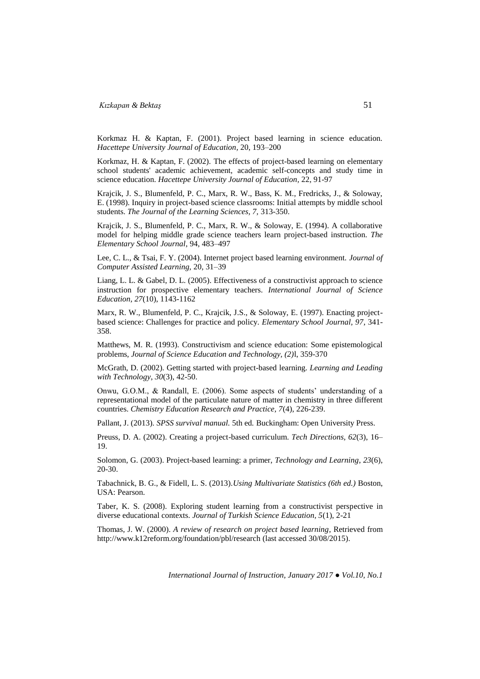Korkmaz H. & Kaptan, F. (2001). Project based learning in science education. *Hacettepe University Journal of Education,* 20, 193–200

Korkmaz, H. & Kaptan, F. (2002). The effects of project-based learning on elementary school students' academic achievement, academic self-concepts and study time in science education. *Hacettepe University Journal of Education,* 22, 91-97

Krajcik, J. S., Blumenfeld, P. C., Marx, R. W., Bass, K. M., Fredricks, J., & Soloway, E. (1998). Inquiry in project-based science classrooms: Initial attempts by middle school students. *The Journal of the Learning Sciences, 7,* 313-350.

Krajcik, J. S., Blumenfeld, P. C., Marx, R. W., & Soloway, E. (1994). A collaborative model for helping middle grade science teachers learn project-based instruction. *The Elementary School Journal*, 94, 483–497

Lee, C. L., & Tsai, F. Y. (2004). Internet project based learning environment. *Journal of Computer Assisted Learning,* 20, 31–39

Liang, L. L. & Gabel, D. L. (2005). Effectiveness of a constructivist approach to science instruction for prospective elementary teachers. *International Journal of Science Education, 27*(10), 1143-1162

Marx, R. W., Blumenfeld, P. C., Krajcik, J.S., & Soloway, E. (1997). Enacting projectbased science: Challenges for practice and policy. *Elementary School Journal, 97*, 341- 358.

Matthews, M. R. (1993). Constructivism and science education: Some epistemological problems, *Journal of Science Education and Technology, (2)*l, 359-370

McGrath, D. (2002). Getting started with project-based learning. *Learning and Leading with Technology*, *30*(3), 42-50.

Onwu, G.O.M., & Randall, E. (2006). Some aspects of students' understanding of a representational model of the particulate nature of matter in chemistry in three different countries. *Chemistry Education Research and Practice, 7*(4), 226-239.

Pallant, J. (2013). *SPSS survival manual.* 5th ed*.* Buckingham: Open University Press.

Preuss, D. A. (2002). Creating a project-based curriculum. *Tech Directions, 62*(3), 16– 19.

Solomon, G. (2003). Project-based learning: a primer, *Technology and Learning*, *23*(6), 20-30.

Tabachnick, B. G., & Fidell, L. S. (2013).*Using Multivariate Statistics (6th ed.)* Boston, USA: Pearson.

Taber, K. S. (2008). Exploring student learning from a constructivist perspective in diverse educational contexts. *Journal of Turkish Science Education, 5*(1), 2-21

Thomas, J. W. (2000). *A review of research on project based learning*, Retrieved from <http://www.k12reform.org/foundation/pbl/research> (last accessed 30/08/2015).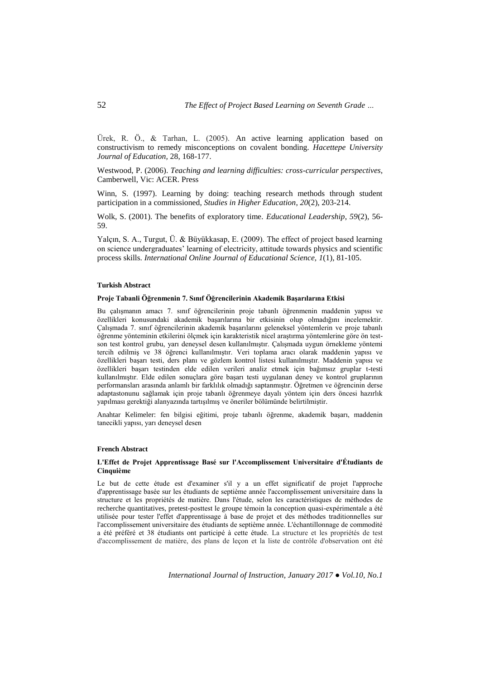Ürek, R. Ö., & Tarhan, L. (2005). An active learning application based on constructivism to remedy misconceptions on covalent bonding. *Hacettepe University Journal of Education,* 28, 168-177.

Westwood, P. (2006). *Teaching and learning difficulties: cross-curricular perspectives*, Camberwell, Vic: ACER. Press

Winn, S. (1997). Learning by doing: teaching research methods through student participation in a commissioned, *Studies in Higher Education*, *20*(2), 203-214.

Wolk, S. (2001). The benefits of exploratory time*. Educational Leadership*, *59*(2), 56- 59.

Yalçın, S. A., Turgut, Ü. & Büyükkasap, E. (2009). The effect of project based learning on science undergraduates' learning of electricity, attitude towards physics and scientific process skills. *International Online Journal of Educational Science, 1*(1), 81-105.

### **Turkish Abstract**

### **Proje Tabanli Öğrenmenin 7. Sınıf Öğrencilerinin Akademik Başarılarına Etkisi**

Bu çalışmanın amacı 7. sınıf öğrencilerinin proje tabanlı öğrenmenin maddenin yapısı ve özellikleri konusundaki akademik başarılarına bir etkisinin olup olmadığını incelemektir. Çalışmada 7. sınıf öğrencilerinin akademik başarılarını geleneksel yöntemlerin ve proje tabanlı öğrenme yönteminin etkilerini ölçmek için karakteristik nicel araştırma yöntemlerine göre ön testson test kontrol grubu, yarı deneysel desen kullanılmıştır. Çalışmada uygun örnekleme yöntemi tercih edilmiş ve 38 öğrenci kullanılmıştır. Veri toplama aracı olarak maddenin yapısı ve özellikleri başarı testi, ders planı ve gözlem kontrol listesi kullanılmıştır. Maddenin yapısı ve özellikleri başarı testinden elde edilen verileri analiz etmek için bağımsız gruplar t-testi kullanılmıştır. Elde edilen sonuçlara göre başarı testi uygulanan deney ve kontrol gruplarının performansları arasında anlamlı bir farklılık olmadığı saptanmıştır. Öğretmen ve öğrencinin derse adaptastonunu sağlamak için proje tabanlı öğrenmeye dayalı yöntem için ders öncesi hazırlık yapılması gerektiği alanyazında tartışılmış ve öneriler bölümünde belirtilmiştir.

Anahtar Kelimeler: fen bilgisi eğitimi, proje tabanlı öğrenme, akademik başarı, maddenin tanecikli yapısı, yarı deneysel desen

### **French Abstract**

### **L'Effet de Projet Apprentissage Basé sur l'Accomplissement Universitaire d'Étudiants de Cinquième**

Le but de cette étude est d'examiner s'il y a un effet significatif de projet l'approche d'apprentissage basée sur les étudiants de septième année l'accomplissement universitaire dans la structure et les propriétés de matière. Dans l'étude, selon les caractéristiques de méthodes de recherche quantitatives, pretest-posttest le groupe témoin la conception quasi-expérimentale a été utilisée pour tester l'effet d'apprentissage à base de projet et des méthodes traditionnelles sur l'accomplissement universitaire des étudiants de septième année. L'échantillonnage de commodité a été préféré et 38 étudiants ont participé à cette étude. La structure et les propriétés de test d'accomplissement de matière, des plans de leçon et la liste de contrôle d'observation ont été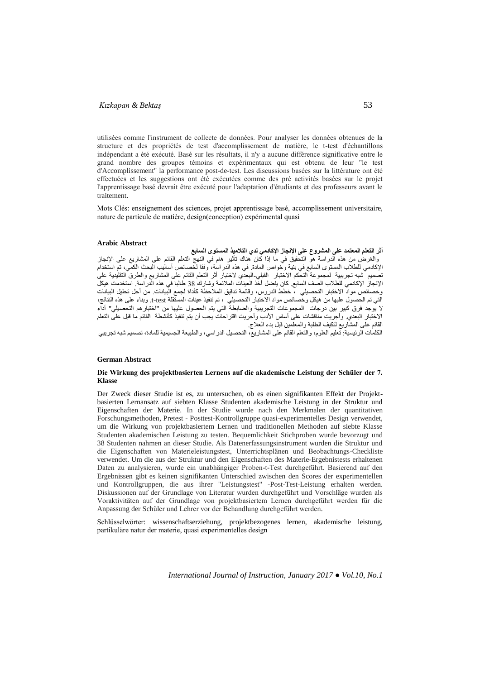utilisées comme l'instrument de collecte de données. Pour analyser les données obtenues de la structure et des propriétés de test d'accomplissement de matière, le t-test d'échantillons indépendant a été exécuté. Basé sur les résultats, il n'y a aucune différence significative entre le grand nombre des groupes témoins et expérimentaux qui est obtenu de leur "le test d'Accomplissement" la performance post-de-test. Les discussions basées sur la littérature ont été effectuées et les suggestions ont été exécutées comme des pré activités basées sur le projet l'apprentissage basé devrait être exécuté pour l'adaptation d'étudiants et des professeurs avant le traitement.

Mots Clés: enseignement des sciences, projet apprentissage basé, accomplissement universitaire, nature de particule de matière, design(conception) expérimental quasi

#### **Arabic Abstract**

**أثر التعلم المعتمد على المشروع على اإلنجاز اإلكادمي لدي التالميذ المستوى السابع** والغرض من هذه الدراسة هو التحقيق في ما إذا كان هناك تأثير هام في النهج التعلم القائم على المشاريع على اإلنجاز اإلكادمي للطالب المستوى السابع في بنية وخواص المادة. في هذه الدراسة، وفقا لخصائص أساليب البحث الكمي، تم استخدام .<br>تصميم شبه تجريبية لمجموعة التحكم الاختبار القبلي-البعدي لاختبار أثر التعلم القائم على المشاريع والطرق التقليدية على اإلنجاز اإلكادمي للطالب الصف السابع. كان يفضل أخذ العينات المالئمة وشارك 83 طالبا في هذه الدراسة. استخدمت هيكل وخصائص مواد االختبار التحصيلي ، خطط الدروس، وقائمة تدقيق المالحظة كأداة لجمع البيانات. من أجل تحليل البيانات التي تم الحصول عليها من هيكل وخصائص مواد االختبار التحصيلي ، تم تنفيذ عينات المستقلة test-t. وبناء على هذه النتائج، ال يوجد فرق كبير بين درجات المجموعات التجريبية والضابطة التي يتم الحصول عليها من "اختبارهم التحصيلي" أداء االختبار البعدي. وأجريت مناقشات على أساس األدب وأجريت اقتراحات يجب أن يتم تنفيذ كأنشطة القائم ما قبل على التعلم القائم على المشاريع لتكيف الطلبة والمعلمين قبل بدء العالج.

الكلمات الرئيسية: تعليم العلوم، والتعلم القائم على المشاريع، التحصيل الدراسي، والطبيعة الجسيمية للمادة، تصميم شبه تجريبي

#### **German Abstract**

#### **Die Wirkung des projektbasierten Lernens auf die akademische Leistung der Schüler der 7. Klasse**

Der Zweck dieser Studie ist es, zu untersuchen, ob es einen signifikanten Effekt der Projektbasierten Lernansatz auf siebten Klasse Studenten akademische Leistung in der Struktur und Eigenschaften der Materie. In der Studie wurde nach den Merkmalen der quantitativen Forschungsmethoden, Pretest - Posttest-Kontrollgruppe quasi-experimentelles Design verwendet, um die Wirkung von projektbasiertem Lernen und traditionellen Methoden auf siebte Klasse Studenten akademischen Leistung zu testen. Bequemlichkeit Stichproben wurde bevorzugt und 38 Studenten nahmen an dieser Studie. Als Datenerfassungsinstrument wurden die Struktur und die Eigenschaften von Materieleistungstest, Unterrichtsplänen und Beobachtungs-Checkliste verwendet. Um die aus der Struktur und den Eigenschaften des Materie-Ergebnistests erhaltenen Daten zu analysieren, wurde ein unabhängiger Proben-t-Test durchgeführt. Basierend auf den Ergebnissen gibt es keinen signifikanten Unterschied zwischen den Scores der experimentellen und Kontrollgruppen, die aus ihrer "Leistungstest" -Post-Test-Leistung erhalten werden. Diskussionen auf der Grundlage von Literatur wurden durchgeführt und Vorschläge wurden als Voraktivitäten auf der Grundlage von projektbasiertem Lernen durchgeführt werden für die Anpassung der Schüler und Lehrer vor der Behandlung durchgeführt werden.

Schlüsselwörter: wissenschaftserziehung, projektbezogenes lernen, akademische leistung, partikuläre natur der materie, quasi experimentelles design